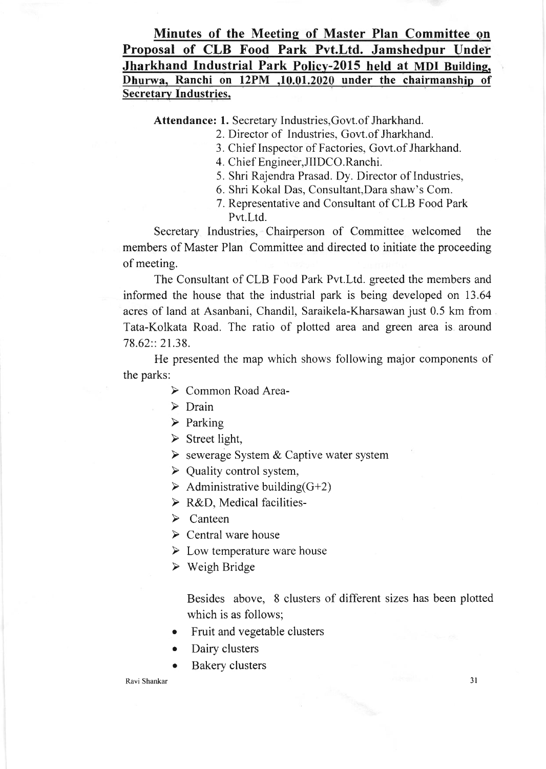## Minutes of the Meeting of Master Plan Committee en Proposal of CLB Food Park Pvt.Ltd. Jamshedpur Under Jharkhand Industrial Park Policy-2015 held at MDI Building. Dhurwa, Ranchi on 12PM ,10.01.2020 under the chairmanship of Secretary Industries,

Attendance: 1. Secretary Industries,Govt.of Jharkhand.

2. Director of Industries, Govt.of Jharkhand.

- 3. Chief Inspector of Factories, Govt.of Jharkhand.
- 4. Chief Engineer,JIIDCO. Ranchi.
- 5. Shri Rajendra Prasad. Dy. Director of Industries,
- 6. Shri Kokal Das, Consultant,Dara shaw's Com.
- 7. Representative and Consultant of CLB Food Park Pvt.Ltd.

Secretary Industries, Chairperson of Committee welcomed the members of Master Plan Committee and directed to initiate the proceeding of meeting.

The Consultant of CLB Food Park Pvt.Ltd. greeted the members and informed the house that the industrial park is being developed on 13.64 acres of land at Asanbani, Chandil, Saraikela-Kharsawan just 0.5 km from Tata-Kolkata Road. The ratio of plotted area and green area is around 78.62:: 21.38.

He presented the map which shows following major components of the parks:

- ▶ Common Road Area-
- $\triangleright$  Drain
- $\triangleright$  Parking
- $\triangleright$  Street light,
- $\triangleright$  sewerage System & Captive water system
- $\triangleright$  Quality control system,
- $\triangleright$  Administrative building(G+2)
- > R&D, Medical facilities-
- $\triangleright$  Canteen
- $\triangleright$  Central ware house
- $\triangleright$  Low temperature ware house
- $\triangleright$  Weigh Bridge

Besides above, 8 clusters of different sizes has been plotted which is as follows;

- Fruit and vegetable clusters
- . Dairy clusters
- Bakery clusters

## Ravi Shankar 3l